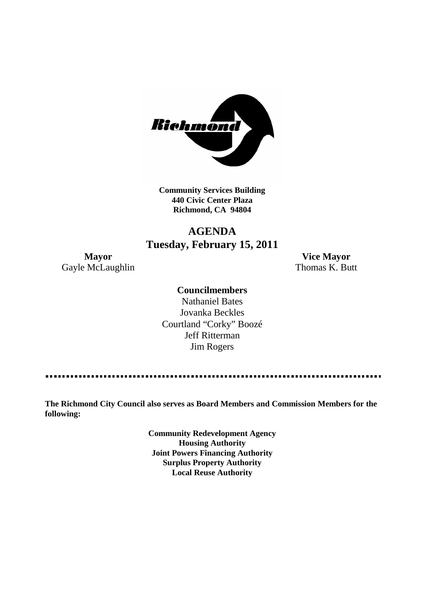

**Community Services Building 440 Civic Center Plaza Richmond, CA 94804**

## **AGENDA Tuesday, February 15, 2011**

Gayle McLaughlin Thomas K. Butt

**Mayor Vice Mayor**

#### **Councilmembers**

Nathaniel Bates Jovanka Beckles Courtland "Corky" Boozé Jeff Ritterman Jim Rogers

**The Richmond City Council also serves as Board Members and Commission Members for the following:**

> **Community Redevelopment Agency Housing Authority Joint Powers Financing Authority Surplus Property Authority Local Reuse Authority**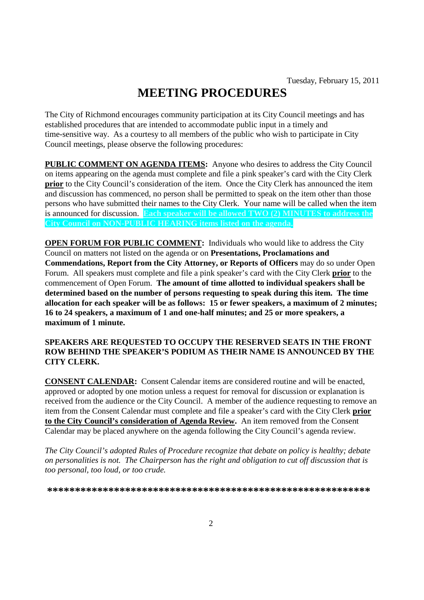# **MEETING PROCEDURES**

The City of Richmond encourages community participation at its City Council meetings and has established procedures that are intended to accommodate public input in a timely and time-sensitive way. As a courtesy to all members of the public who wish to participate in City Council meetings, please observe the following procedures:

**PUBLIC COMMENT ON AGENDA ITEMS:** Anyone who desires to address the City Council on items appearing on the agenda must complete and file a pink speaker's card with the City Clerk **prior** to the City Council's consideration of the item. Once the City Clerk has announced the item and discussion has commenced, no person shall be permitted to speak on the item other than those persons who have submitted their names to the City Clerk. Your name will be called when the item is announced for discussion. **Each speaker will be allowed TWO (2) MINUTES to address the City Council on NON-PUBLIC HEARING items listed on the agenda.**

**OPEN FORUM FOR PUBLIC COMMENT:** Individuals who would like to address the City Council on matters not listed on the agenda or on **Presentations, Proclamations and Commendations, Report from the City Attorney, or Reports of Officers** may do so under Open Forum. All speakers must complete and file a pink speaker's card with the City Clerk **prior** to the commencement of Open Forum. **The amount of time allotted to individual speakers shall be determined based on the number of persons requesting to speak during this item. The time allocation for each speaker will be as follows: 15 or fewer speakers, a maximum of 2 minutes; 16 to 24 speakers, a maximum of 1 and one-half minutes; and 25 or more speakers, a maximum of 1 minute.**

#### **SPEAKERS ARE REQUESTED TO OCCUPY THE RESERVED SEATS IN THE FRONT ROW BEHIND THE SPEAKER'S PODIUM AS THEIR NAME IS ANNOUNCED BY THE CITY CLERK.**

**CONSENT CALENDAR:** Consent Calendar items are considered routine and will be enacted, approved or adopted by one motion unless a request for removal for discussion or explanation is received from the audience or the City Council. A member of the audience requesting to remove an item from the Consent Calendar must complete and file a speaker's card with the City Clerk **prior to the City Council's consideration of Agenda Review.** An item removed from the Consent Calendar may be placed anywhere on the agenda following the City Council's agenda review.

*The City Council's adopted Rules of Procedure recognize that debate on policy is healthy; debate on personalities is not. The Chairperson has the right and obligation to cut off discussion that is too personal, too loud, or too crude.*

**\*\*\*\*\*\*\*\*\*\*\*\*\*\*\*\*\*\*\*\*\*\*\*\*\*\*\*\*\*\*\*\*\*\*\*\*\*\*\*\*\*\*\*\*\*\*\*\*\*\*\*\*\*\*\*\*\*\***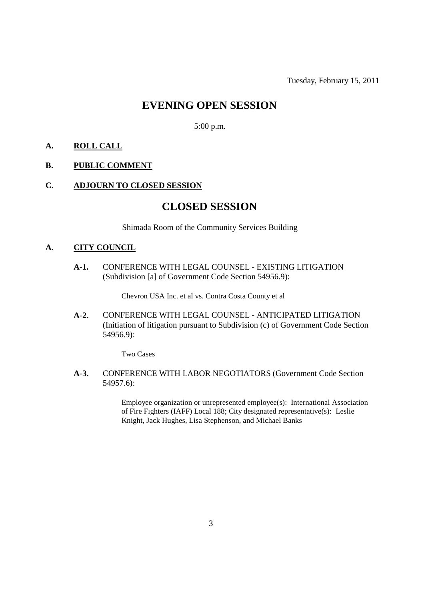### **EVENING OPEN SESSION**

5:00 p.m.

#### **A. ROLL CALL**

#### **B. PUBLIC COMMENT**

#### **C. ADJOURN TO CLOSED SESSION**

### **CLOSED SESSION**

Shimada Room of the Community Services Building

#### **A. CITY COUNCIL**

**A-1.** CONFERENCE WITH LEGAL COUNSEL - EXISTING LITIGATION (Subdivision [a] of Government Code Section 54956.9):

Chevron USA Inc. et al vs. Contra Costa County et al

**A-2.** CONFERENCE WITH LEGAL COUNSEL - ANTICIPATED LITIGATION (Initiation of litigation pursuant to Subdivision (c) of Government Code Section 54956.9):

Two Cases

**A-3.** CONFERENCE WITH LABOR NEGOTIATORS (Government Code Section 54957.6):

> Employee organization or unrepresented employee(s): International Association of Fire Fighters (IAFF) Local 188; City designated representative(s): Leslie Knight, Jack Hughes, Lisa Stephenson, and Michael Banks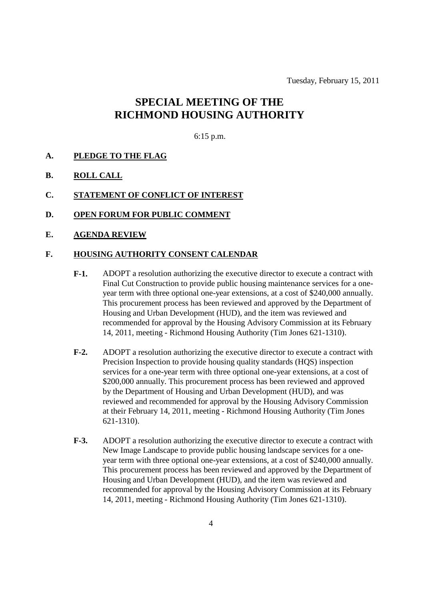Tuesday, February 15, 2011

### **SPECIAL MEETING OF THE RICHMOND HOUSING AUTHORITY**

#### 6:15 p.m.

#### **A. PLEDGE TO THE FLAG**

**B. ROLL CALL**

#### **C. STATEMENT OF CONFLICT OF INTEREST**

- **D. OPEN FORUM FOR PUBLIC COMMENT**
- **E. AGENDA REVIEW**

#### **F. HOUSING AUTHORITY CONSENT CALENDAR**

- **F-1.** ADOPT a resolution authorizing the executive director to execute a contract with Final Cut Construction to provide public housing maintenance services for a oneyear term with three optional one-year extensions, at a cost of \$240,000 annually. This procurement process has been reviewed and approved by the Department of Housing and Urban Development (HUD), and the item was reviewed and recommended for approval by the Housing Advisory Commission at its February 14, 2011, meeting - Richmond Housing Authority (Tim Jones 621-1310).
- **F-2.** ADOPT a resolution authorizing the executive director to execute a contract with Precision Inspection to provide housing quality standards (HQS) inspection services for a one-year term with three optional one-year extensions, at a cost of \$200,000 annually. This procurement process has been reviewed and approved by the Department of Housing and Urban Development (HUD), and was reviewed and recommended for approval by the Housing Advisory Commission at their February 14, 2011, meeting - Richmond Housing Authority (Tim Jones 621-1310).
- **F-3.** ADOPT a resolution authorizing the executive director to execute a contract with New Image Landscape to provide public housing landscape services for a oneyear term with three optional one-year extensions, at a cost of \$240,000 annually. This procurement process has been reviewed and approved by the Department of Housing and Urban Development (HUD), and the item was reviewed and recommended for approval by the Housing Advisory Commission at its February 14, 2011, meeting - Richmond Housing Authority (Tim Jones 621-1310).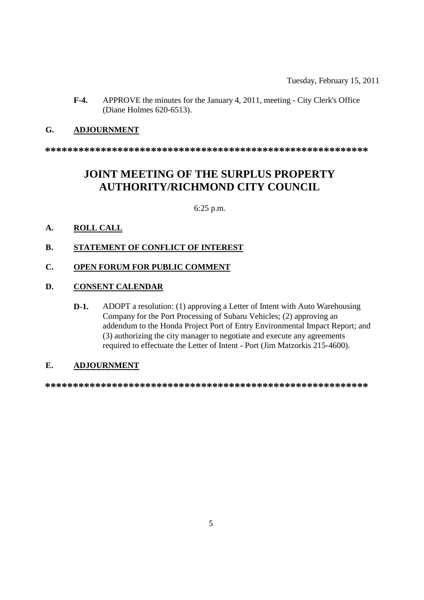**F-4.** APPROVE the minutes for the January 4, 2011, meeting - City Clerk's Office (Diane Holmes 620-6513).

#### **G. ADJOURNMENT**

**\*\*\*\*\*\*\*\*\*\*\*\*\*\*\*\*\*\*\*\*\*\*\*\*\*\*\*\*\*\*\*\*\*\*\*\*\*\*\*\*\*\*\*\*\*\*\*\*\*\*\*\*\*\*\*\*\*\***

## **JOINT MEETING OF THE SURPLUS PROPERTY AUTHORITY/RICHMOND CITY COUNCIL**

6:25 p.m.

#### **A. ROLL CALL**

**B. STATEMENT OF CONFLICT OF INTEREST**

#### **C. OPEN FORUM FOR PUBLIC COMMENT**

#### **D. CONSENT CALENDAR**

**D-1.** ADOPT a resolution: (1) approving a Letter of Intent with Auto Warehousing Company for the Port Processing of Subaru Vehicles; (2) approving an addendum to the Honda Project Port of Entry Environmental Impact Report; and (3) authorizing the city manager to negotiate and execute any agreements required to effectuate the Letter of Intent - Port (Jim Matzorkis 215-4600).

#### **E. ADJOURNMENT**

**\*\*\*\*\*\*\*\*\*\*\*\*\*\*\*\*\*\*\*\*\*\*\*\*\*\*\*\*\*\*\*\*\*\*\*\*\*\*\*\*\*\*\*\*\*\*\*\*\*\*\*\*\*\*\*\*\*\***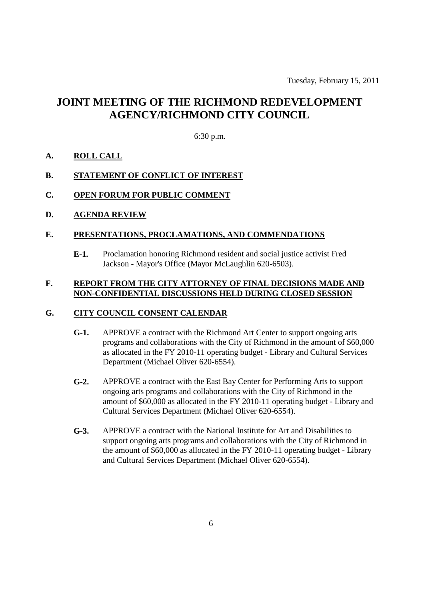## **JOINT MEETING OF THE RICHMOND REDEVELOPMENT AGENCY/RICHMOND CITY COUNCIL**

#### 6:30 p.m.

#### **A. ROLL CALL**

#### **B. STATEMENT OF CONFLICT OF INTEREST**

#### **C. OPEN FORUM FOR PUBLIC COMMENT**

**D. AGENDA REVIEW**

#### **E. PRESENTATIONS, PROCLAMATIONS, AND COMMENDATIONS**

**E-1.** Proclamation honoring Richmond resident and social justice activist Fred Jackson - Mayor's Office (Mayor McLaughlin 620-6503).

#### **F. REPORT FROM THE CITY ATTORNEY OF FINAL DECISIONS MADE AND NON-CONFIDENTIAL DISCUSSIONS HELD DURING CLOSED SESSION**

#### **G. CITY COUNCIL CONSENT CALENDAR**

- **G-1.** APPROVE a contract with the Richmond Art Center to support ongoing arts programs and collaborations with the City of Richmond in the amount of \$60,000 as allocated in the FY 2010-11 operating budget - Library and Cultural Services Department (Michael Oliver 620-6554).
- **G-2.** APPROVE a contract with the East Bay Center for Performing Arts to support ongoing arts programs and collaborations with the City of Richmond in the amount of \$60,000 as allocated in the FY 2010-11 operating budget - Library and Cultural Services Department (Michael Oliver 620-6554).
- **G-3.** APPROVE a contract with the National Institute for Art and Disabilities to support ongoing arts programs and collaborations with the City of Richmond in the amount of \$60,000 as allocated in the FY 2010-11 operating budget - Library and Cultural Services Department (Michael Oliver 620-6554).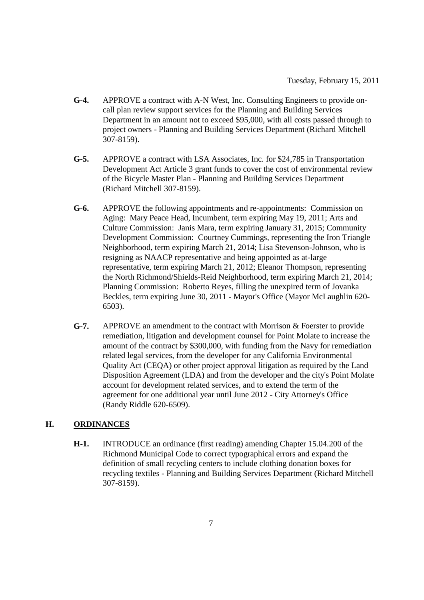- **G-4.** APPROVE a contract with A-N West, Inc. Consulting Engineers to provide oncall plan review support services for the Planning and Building Services Department in an amount not to exceed \$95,000, with all costs passed through to project owners - Planning and Building Services Department (Richard Mitchell 307-8159).
- **G-5.** APPROVE a contract with LSA Associates, Inc. for \$24,785 in Transportation Development Act Article 3 grant funds to cover the cost of environmental review of the Bicycle Master Plan - Planning and Building Services Department (Richard Mitchell 307-8159).
- **G-6.** APPROVE the following appointments and re-appointments: Commission on Aging: Mary Peace Head, Incumbent, term expiring May 19, 2011; Arts and Culture Commission: Janis Mara, term expiring January 31, 2015; Community Development Commission: Courtney Cummings, representing the Iron Triangle Neighborhood, term expiring March 21, 2014; Lisa Stevenson-Johnson, who is resigning as NAACP representative and being appointed as at-large representative, term expiring March 21, 2012; Eleanor Thompson, representing the North Richmond/Shields-Reid Neighborhood, term expiring March 21, 2014; Planning Commission: Roberto Reyes, filling the unexpired term of Jovanka Beckles, term expiring June 30, 2011 - Mayor's Office (Mayor McLaughlin 620- 6503).
- **G-7.** APPROVE an amendment to the contract with Morrison & Foerster to provide remediation, litigation and development counsel for Point Molate to increase the amount of the contract by \$300,000, with funding from the Navy for remediation related legal services, from the developer for any California Environmental Quality Act (CEQA) or other project approval litigation as required by the Land Disposition Agreement (LDA) and from the developer and the city's Point Molate account for development related services, and to extend the term of the agreement for one additional year until June 2012 - City Attorney's Office (Randy Riddle 620-6509).

#### **H. ORDINANCES**

**H-1.** INTRODUCE an ordinance (first reading) amending Chapter 15.04.200 of the Richmond Municipal Code to correct typographical errors and expand the definition of small recycling centers to include clothing donation boxes for recycling textiles - Planning and Building Services Department (Richard Mitchell 307-8159).